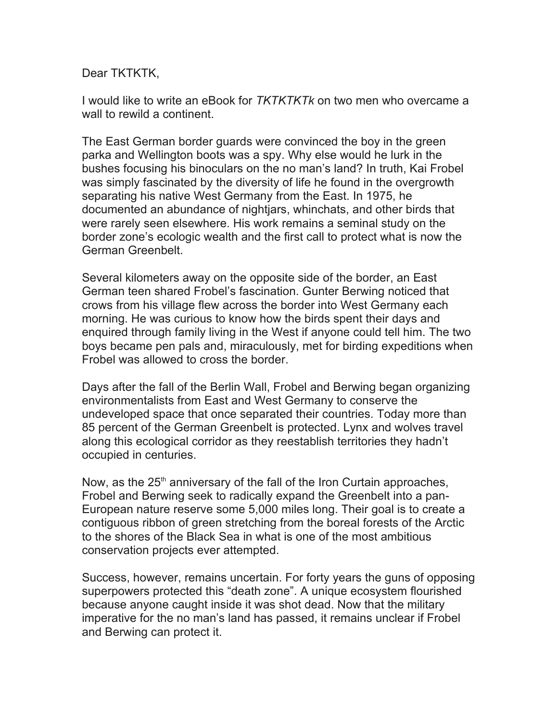## Dear TKTKTK,

I would like to write an eBook for *TKTKTKTk* on two men who overcame a wall to rewild a continent.

The East German border guards were convinced the boy in the green parka and Wellington boots was a spy. Why else would he lurk in the bushes focusing his binoculars on the no man's land? In truth, Kai Frobel was simply fascinated by the diversity of life he found in the overgrowth separating his native West Germany from the East. In 1975, he documented an abundance of nightjars, whinchats, and other birds that were rarely seen elsewhere. His work remains a seminal study on the border zone's ecologic wealth and the first call to protect what is now the German Greenbelt.

Several kilometers away on the opposite side of the border, an East German teen shared Frobel's fascination. Gunter Berwing noticed that crows from his village flew across the border into West Germany each morning. He was curious to know how the birds spent their days and enquired through family living in the West if anyone could tell him. The two boys became pen pals and, miraculously, met for birding expeditions when Frobel was allowed to cross the border.

Days after the fall of the Berlin Wall, Frobel and Berwing began organizing environmentalists from East and West Germany to conserve the undeveloped space that once separated their countries. Today more than 85 percent of the German Greenbelt is protected. Lynx and wolves travel along this ecological corridor as they reestablish territories they hadn't occupied in centuries.

Now, as the  $25<sup>th</sup>$  anniversary of the fall of the Iron Curtain approaches, Frobel and Berwing seek to radically expand the Greenbelt into a pan-European nature reserve some 5,000 miles long. Their goal is to create a contiguous ribbon of green stretching from the boreal forests of the Arctic to the shores of the Black Sea in what is one of the most ambitious conservation projects ever attempted.

Success, however, remains uncertain. For forty years the guns of opposing superpowers protected this "death zone". A unique ecosystem flourished because anyone caught inside it was shot dead. Now that the military imperative for the no man's land has passed, it remains unclear if Frobel and Berwing can protect it.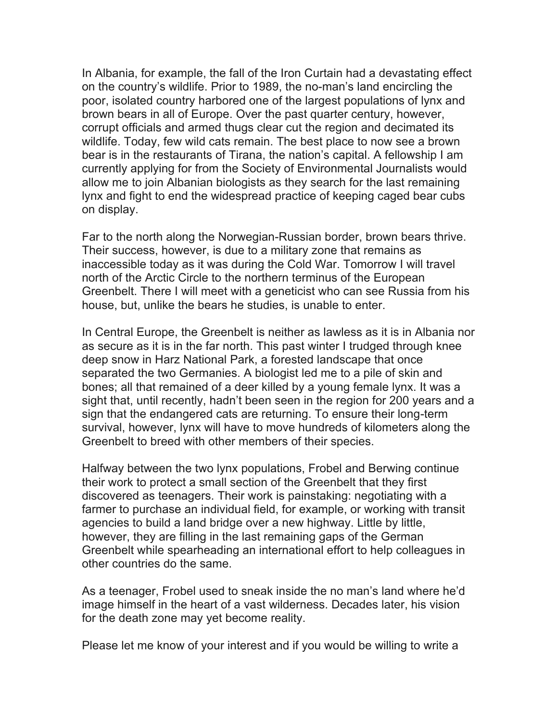In Albania, for example, the fall of the Iron Curtain had a devastating effect on the country's wildlife. Prior to 1989, the no-man's land encircling the poor, isolated country harbored one of the largest populations of lynx and brown bears in all of Europe. Over the past quarter century, however, corrupt officials and armed thugs clear cut the region and decimated its wildlife. Today, few wild cats remain. The best place to now see a brown bear is in the restaurants of Tirana, the nation's capital. A fellowship I am currently applying for from the Society of Environmental Journalists would allow me to join Albanian biologists as they search for the last remaining lynx and fight to end the widespread practice of keeping caged bear cubs on display.

Far to the north along the Norwegian-Russian border, brown bears thrive. Their success, however, is due to a military zone that remains as inaccessible today as it was during the Cold War. Tomorrow I will travel north of the Arctic Circle to the northern terminus of the European Greenbelt. There I will meet with a geneticist who can see Russia from his house, but, unlike the bears he studies, is unable to enter.

In Central Europe, the Greenbelt is neither as lawless as it is in Albania nor as secure as it is in the far north. This past winter I trudged through knee deep snow in Harz National Park, a forested landscape that once separated the two Germanies. A biologist led me to a pile of skin and bones; all that remained of a deer killed by a young female lynx. It was a sight that, until recently, hadn't been seen in the region for 200 years and a sign that the endangered cats are returning. To ensure their long-term survival, however, lynx will have to move hundreds of kilometers along the Greenbelt to breed with other members of their species.

Halfway between the two lynx populations, Frobel and Berwing continue their work to protect a small section of the Greenbelt that they first discovered as teenagers. Their work is painstaking: negotiating with a farmer to purchase an individual field, for example, or working with transit agencies to build a land bridge over a new highway. Little by little, however, they are filling in the last remaining gaps of the German Greenbelt while spearheading an international effort to help colleagues in other countries do the same.

As a teenager, Frobel used to sneak inside the no man's land where he'd image himself in the heart of a vast wilderness. Decades later, his vision for the death zone may yet become reality.

Please let me know of your interest and if you would be willing to write a